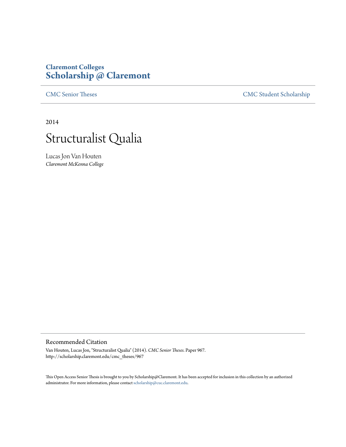# **Claremont Colleges [Scholarship @ Claremont](http://scholarship.claremont.edu)**

[CMC Senior Theses](http://scholarship.claremont.edu/cmc_theses) [CMC Student Scholarship](http://scholarship.claremont.edu/cmc_student)

2014



Lucas Jon Van Houten *Claremont McKenna College*

#### Recommended Citation

Van Houten, Lucas Jon, "Structuralist Qualia" (2014). *CMC Senior Theses.* Paper 967. http://scholarship.claremont.edu/cmc\_theses/967

This Open Access Senior Thesis is brought to you by Scholarship@Claremont. It has been accepted for inclusion in this collection by an authorized administrator. For more information, please contact [scholarship@cuc.claremont.edu.](mailto:scholarship@cuc.claremont.edu)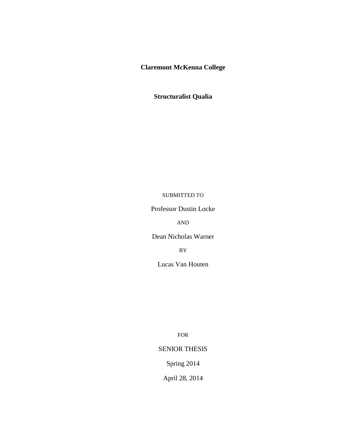**Claremont McKenna College**

**Structuralist Qualia**

### SUBMITTED TO

Professor Dustin Locke

AND

Dean Nicholas Warner

BY

Lucas Van Houten

FOR

## SENIOR THESIS

Spring 2014

April 28, 2014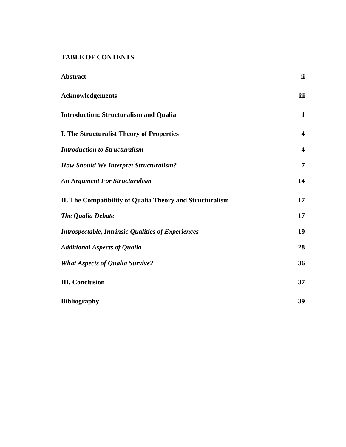**TABLE OF CONTENTS**

| <b>Abstract</b>                                           | <i>ii</i>               |
|-----------------------------------------------------------|-------------------------|
| <b>Acknowledgements</b>                                   | iii                     |
| <b>Introduction: Structuralism and Qualia</b>             | $\mathbf{1}$            |
| <b>I. The Structuralist Theory of Properties</b>          | $\overline{\mathbf{4}}$ |
| <b>Introduction to Structuralism</b>                      | $\overline{\mathbf{4}}$ |
| <b>How Should We Interpret Structuralism?</b>             | $\overline{7}$          |
| <b>An Argument For Structuralism</b>                      | 14                      |
| II. The Compatibility of Qualia Theory and Structuralism  | 17                      |
| The Qualia Debate                                         | 17                      |
| <b>Introspectable, Intrinsic Qualities of Experiences</b> | 19                      |
| <b>Additional Aspects of Qualia</b>                       | 28                      |
| <b>What Aspects of Qualia Survive?</b>                    | 36                      |
| <b>III.</b> Conclusion                                    | 37                      |
| <b>Bibliography</b>                                       | 39                      |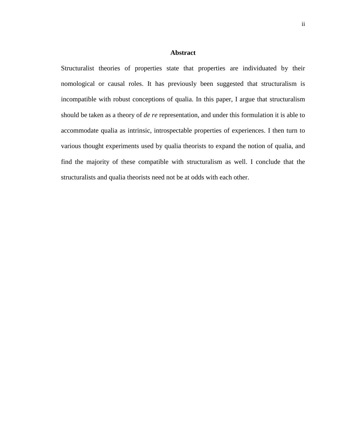#### **Abstract**

<span id="page-3-0"></span>Structuralist theories of properties state that properties are individuated by their nomological or causal roles. It has previously been suggested that structuralism is incompatible with robust conceptions of qualia. In this paper, I argue that structuralism should be taken as a theory of *de re* representation, and under this formulation it is able to accommodate qualia as intrinsic, introspectable properties of experiences. I then turn to various thought experiments used by qualia theorists to expand the notion of qualia, and find the majority of these compatible with structuralism as well. I conclude that the structuralists and qualia theorists need not be at odds with each other.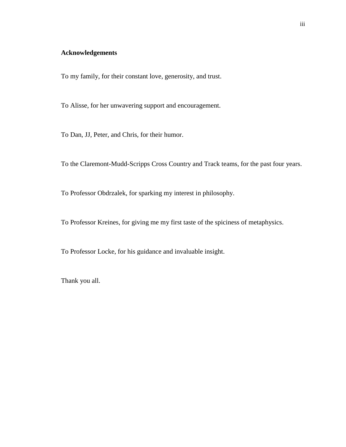## <span id="page-4-0"></span>**Acknowledgements**

To my family, for their constant love, generosity, and trust.

To Alisse, for her unwavering support and encouragement.

To Dan, JJ, Peter, and Chris, for their humor.

To the Claremont-Mudd-Scripps Cross Country and Track teams, for the past four years.

To Professor Obdrzalek, for sparking my interest in philosophy.

To Professor Kreines, for giving me my first taste of the spiciness of metaphysics.

To Professor Locke, for his guidance and invaluable insight.

Thank you all.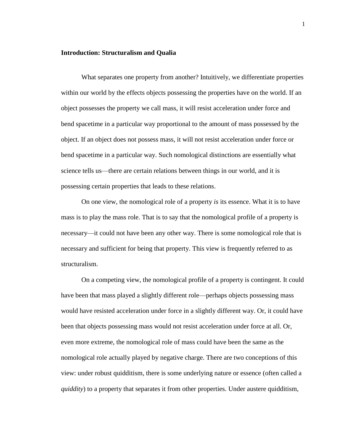#### <span id="page-5-0"></span>**Introduction: Structuralism and Qualia**

What separates one property from another? Intuitively, we differentiate properties within our world by the effects objects possessing the properties have on the world. If an object possesses the property we call mass, it will resist acceleration under force and bend spacetime in a particular way proportional to the amount of mass possessed by the object. If an object does not possess mass, it will not resist acceleration under force or bend spacetime in a particular way. Such nomological distinctions are essentially what science tells us—there are certain relations between things in our world, and it is possessing certain properties that leads to these relations.

On one view, the nomological role of a property *is* its essence. What it is to have mass is to play the mass role. That is to say that the nomological profile of a property is necessary—it could not have been any other way. There is some nomological role that is necessary and sufficient for being that property. This view is frequently referred to as structuralism.

On a competing view, the nomological profile of a property is contingent. It could have been that mass played a slightly different role—perhaps objects possessing mass would have resisted acceleration under force in a slightly different way. Or, it could have been that objects possessing mass would not resist acceleration under force at all. Or, even more extreme, the nomological role of mass could have been the same as the nomological role actually played by negative charge. There are two conceptions of this view: under robust quidditism, there is some underlying nature or essence (often called a *quiddity*) to a property that separates it from other properties. Under austere quidditism,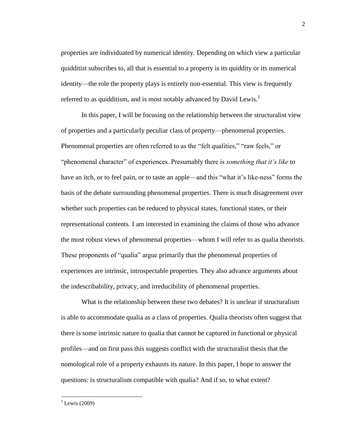properties are individuated by numerical identity. Depending on which view a particular quidditist subscribes to, all that is essential to a property is its quiddity or its numerical identity—the role the property plays is entirely non-essential. This view is frequently referred to as quidditism, and is most notably advanced by David Lewis.<sup>1</sup>

In this paper, I will be focusing on the relationship between the structuralist view of properties and a particularly peculiar class of property—phenomenal properties. Phenomenal properties are often referred to as the "felt qualities," "raw feels," or "phenomenal character" of experiences. Presumably there is *something that it's like* to have an itch, or to feel pain, or to taste an apple—and this "what it's like-ness" forms the basis of the debate surrounding phenomenal properties. There is much disagreement over whether such properties can be reduced to physical states, functional states, or their representational contents. I am interested in examining the claims of those who advance the most robust views of phenomenal properties—whom I will refer to as qualia theorists. These proponents of "qualia" argue primarily that the phenomenal properties of experiences are intrinsic, introspectable properties. They also advance arguments about the indescribability, privacy, and irreducibility of phenomenal properties.

What is the relationship between these two debates? It is unclear if structuralism is able to accommodate qualia as a class of properties. Qualia theorists often suggest that there is some intrinsic nature to qualia that cannot be captured in functional or physical profiles—and on first pass this suggests conflict with the structuralist thesis that the nomological role of a property exhausts its nature. In this paper, I hope to answer the questions: is structuralism compatible with qualia? And if so, to what extent?

 $^{1}$  Lewis (2009)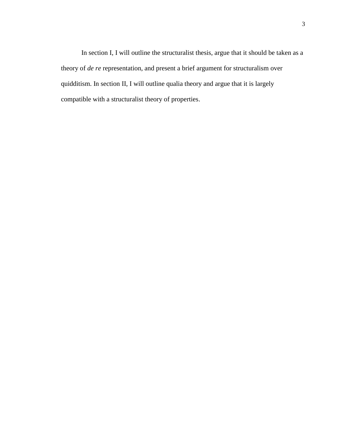In section I, I will outline the structuralist thesis, argue that it should be taken as a theory of *de re* representation, and present a brief argument for structuralism over quidditism. In section II, I will outline qualia theory and argue that it is largely compatible with a structuralist theory of properties.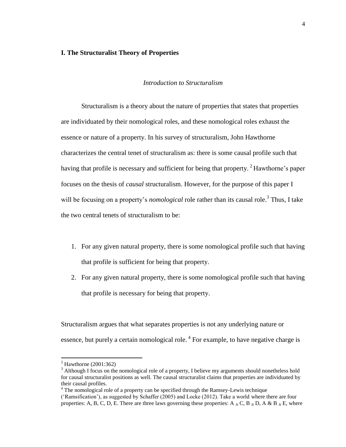#### <span id="page-8-1"></span><span id="page-8-0"></span>**I. The Structuralist Theory of Properties**

#### *Introduction to Structuralism*

Structuralism is a theory about the nature of properties that states that properties are individuated by their nomological roles, and these nomological roles exhaust the essence or nature of a property. In his survey of structuralism, John Hawthorne characterizes the central tenet of structuralism as: there is some causal profile such that having that profile is necessary and sufficient for being that property.  $2$  Hawthorne's paper focuses on the thesis of *causal* structuralism. However, for the purpose of this paper I will be focusing on a property's *nomological* role rather than its causal role.<sup>3</sup> Thus, I take the two central tenets of structuralism to be:

- 1. For any given natural property, there is some nomological profile such that having that profile is sufficient for being that property.
- 2. For any given natural property, there is some nomological profile such that having that profile is necessary for being that property.

Structuralism argues that what separates properties is not any underlying nature or essence, but purely a certain nomological role.<sup>4</sup> For example, to have negative charge is

 $2$  Hawthorne (2001:362)

 $3$  Although I focus on the nomological role of a property, I believe my arguments should nonetheless hold for causal structuralist positions as well. The causal structuralist claims that properties are individuated by their causal profiles.

 $4$  The nomological role of a property can be specified through the Ramsey-Lewis technique

<sup>(&#</sup>x27;Ramsification'), as suggested by Schaffer (2005) and Locke (2012). Take a world where there are four properties: A, B, C, D, E. There are three laws governing these properties: A  $_N$  C, B  $_N$  D, A & B  $_N$  E, where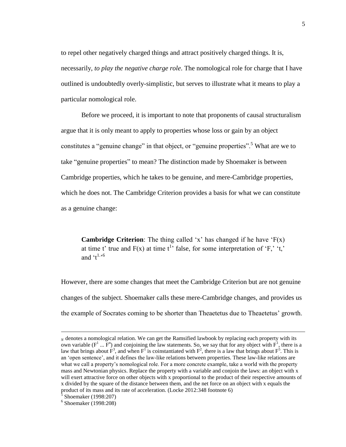to repel other negatively charged things and attract positively charged things. It is, necessarily, *to play the negative charge role*. The nomological role for charge that I have outlined is undoubtedly overly-simplistic, but serves to illustrate what it means to play a particular nomological role.

Before we proceed, it is important to note that proponents of causal structuralism argue that it is only meant to apply to properties whose loss or gain by an object constitutes a "genuine change" in that object, or "genuine properties".<sup>5</sup> What are we to take "genuine properties" to mean? The distinction made by Shoemaker is between Cambridge properties, which he takes to be genuine, and mere-Cambridge properties, which he does not. The Cambridge Criterion provides a basis for what we can constitute as a genuine change:

**Cambridge Criterion**: The thing called 'x' has changed if he have 'F(x) at time t' true and  $F(x)$  at time t<sup>1</sup> false, for some interpretation of 'F,' 't,' and  $'t^{1.56}$ 

However, there are some changes that meet the Cambridge Criterion but are not genuine changes of the subject. Shoemaker calls these mere-Cambridge changes, and provides us the example of Socrates coming to be shorter than Theaetetus due to Theaetetus' growth.

*<sup>N</sup>* denotes a nomological relation. We can get the Ramsified lawbook by replacing each property with its own variable ( $F^1$  ...  $F^n$ ) and conjoining the law statements. So, we say that for any object with  $F^1$ , there is a law that brings about  $F^3$ , and when  $F^1$  is coinstantiated with  $F^2$ , there is a law that brings about  $F^5$ . This is an 'open sentence', and it defines the law-like relations between properties. These law-like relations are what we call a property's nomological role. For a more concrete example, take a world with the property mass and Newtonian physics. Replace the property with a variable and conjoin the laws: an object with x will exert attractive force on other objects with x proportional to the product of their respective amounts of x divided by the square of the distance between them, and the net force on an object with x equals the product of its mass and its rate of acceleration. (Locke 2012:348 footnote 6)

Shoemaker (1998:207)

<sup>6</sup> Shoemaker (1998:208)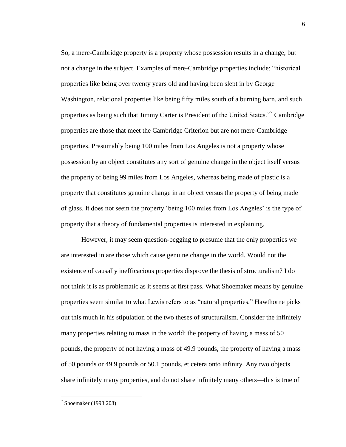So, a mere-Cambridge property is a property whose possession results in a change, but not a change in the subject. Examples of mere-Cambridge properties include: "historical properties like being over twenty years old and having been slept in by George Washington, relational properties like being fifty miles south of a burning barn, and such properties as being such that Jimmy Carter is President of the United States."<sup>7</sup> Cambridge properties are those that meet the Cambridge Criterion but are not mere-Cambridge properties. Presumably being 100 miles from Los Angeles is not a property whose possession by an object constitutes any sort of genuine change in the object itself versus the property of being 99 miles from Los Angeles, whereas being made of plastic is a property that constitutes genuine change in an object versus the property of being made of glass. It does not seem the property 'being 100 miles from Los Angeles' is the type of property that a theory of fundamental properties is interested in explaining.

However, it may seem question-begging to presume that the only properties we are interested in are those which cause genuine change in the world. Would not the existence of causally inefficacious properties disprove the thesis of structuralism? I do not think it is as problematic as it seems at first pass. What Shoemaker means by genuine properties seem similar to what Lewis refers to as "natural properties." Hawthorne picks out this much in his stipulation of the two theses of structuralism. Consider the infinitely many properties relating to mass in the world: the property of having a mass of 50 pounds, the property of not having a mass of 49.9 pounds, the property of having a mass of 50 pounds or 49.9 pounds or 50.1 pounds, et cetera onto infinity. Any two objects share infinitely many properties, and do not share infinitely many others—this is true of

<sup>7</sup> Shoemaker (1998:208)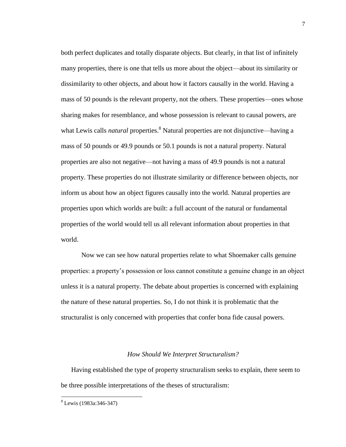both perfect duplicates and totally disparate objects. But clearly, in that list of infinitely many properties, there is one that tells us more about the object—about its similarity or dissimilarity to other objects, and about how it factors causally in the world. Having a mass of 50 pounds is the relevant property, not the others. These properties—ones whose sharing makes for resemblance, and whose possession is relevant to causal powers, are what Lewis calls *natural* properties.<sup>8</sup> Natural properties are not disjunctive—having a mass of 50 pounds or 49.9 pounds or 50.1 pounds is not a natural property. Natural properties are also not negative—not having a mass of 49.9 pounds is not a natural property. These properties do not illustrate similarity or difference between objects, nor inform us about how an object figures causally into the world. Natural properties are properties upon which worlds are built: a full account of the natural or fundamental properties of the world would tell us all relevant information about properties in that world.

Now we can see how natural properties relate to what Shoemaker calls genuine properties: a property's possession or loss cannot constitute a genuine change in an object unless it is a natural property. The debate about properties is concerned with explaining the nature of these natural properties. So, I do not think it is problematic that the structuralist is only concerned with properties that confer bona fide causal powers.

#### *How Should We Interpret Structuralism?*

<span id="page-11-0"></span>Having established the type of property structuralism seeks to explain, there seem to be three possible interpretations of the theses of structuralism:

<sup>8</sup> Lewis (1983a:346-347)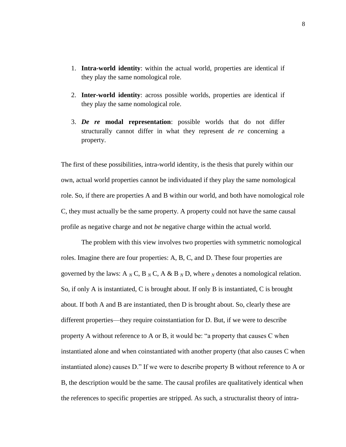- 1. **Intra-world identity**: within the actual world, properties are identical if they play the same nomological role.
- 2. **Inter-world identity**: across possible worlds, properties are identical if they play the same nomological role.
- 3. *De re* **modal representation**: possible worlds that do not differ structurally cannot differ in what they represent *de re* concerning a property.

The first of these possibilities, intra-world identity, is the thesis that purely within our own, actual world properties cannot be individuated if they play the same nomological role. So, if there are properties A and B within our world, and both have nomological role C, they must actually be the same property. A property could not have the same causal profile as negative charge and not *be* negative charge within the actual world.

The problem with this view involves two properties with symmetric nomological roles. Imagine there are four properties: A, B, C, and D. These four properties are governed by the laws: A  $_N$  C, B  $_N$  C, A & B  $_N$  D, where  $_N$  denotes a nomological relation. So, if only A is instantiated, C is brought about. If only B is instantiated, C is brought about. If both A and B are instantiated, then D is brought about. So, clearly these are different properties—they require coinstantiation for D. But, if we were to describe property A without reference to A or B, it would be: "a property that causes C when instantiated alone and when coinstantiated with another property (that also causes C when instantiated alone) causes D." If we were to describe property B without reference to A or B, the description would be the same. The causal profiles are qualitatively identical when the references to specific properties are stripped. As such, a structuralist theory of intra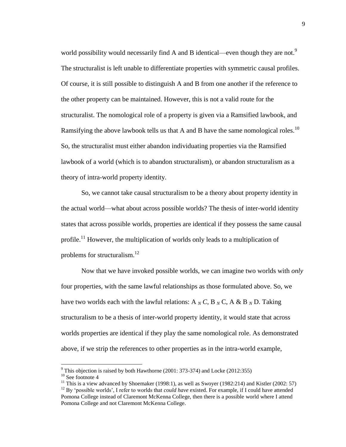world possibility would necessarily find A and B identical—even though they are not.<sup>9</sup> The structuralist is left unable to differentiate properties with symmetric causal profiles. Of course, it is still possible to distinguish A and B from one another if the reference to the other property can be maintained. However, this is not a valid route for the structuralist. The nomological role of a property is given via a Ramsified lawbook, and Ramsifying the above lawbook tells us that A and B have the same nomological roles.<sup>10</sup> So, the structuralist must either abandon individuating properties via the Ramsified lawbook of a world (which is to abandon structuralism), or abandon structuralism as a theory of intra-world property identity.

So, we cannot take causal structuralism to be a theory about property identity in the actual world—what about across possible worlds? The thesis of inter-world identity states that across possible worlds, properties are identical if they possess the same causal profile.<sup>11</sup> However, the multiplication of worlds only leads to a multiplication of problems for structuralism.<sup>12</sup>

Now that we have invoked possible worlds, we can imagine two worlds with *only* four properties, with the same lawful relationships as those formulated above. So, we have two worlds each with the lawful relations: A  $_N$  C, B  $_N$  C, A & B  $_N$  D. Taking structuralism to be a thesis of inter-world property identity, it would state that across worlds properties are identical if they play the same nomological role. As demonstrated above, if we strip the references to other properties as in the intra-world example,

l

 $9$  This objection is raised by both Hawthorne (2001: 373-374) and Locke (2012:355)

<sup>&</sup>lt;sup>10</sup> See footnote 4

<sup>&</sup>lt;sup>11</sup> This is a view advanced by Shoemaker (1998:1), as well as Swoyer (1982:214) and Kistler (2002: 57) <sup>12</sup> By 'possible worlds', I refer to worlds that *could have* existed. For example, if I could have attended Pomona College instead of Claremont McKenna College, then there is a possible world where I attend Pomona College and not Claremont McKenna College.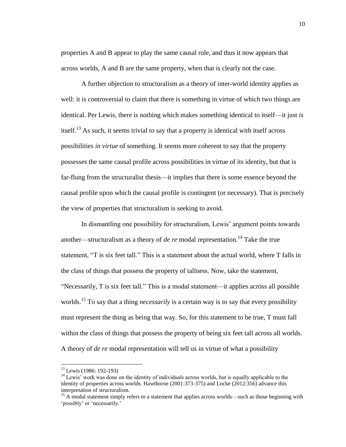properties A and B appear to play the same causal role, and thus it now appears that across worlds, A and B are the same property, when that is clearly not the case.

A further objection to structuralism as a theory of inter-world identity applies as well: it is controversial to claim that there is something in virtue of which two things are identical. Per Lewis, there is nothing which makes something identical to itself—it just *is* itself.<sup>13</sup> As such, it seems trivial to say that a property is identical with itself across possibilities *in virtue* of something. It seems more coherent to say that the property possesses the same causal profile across possibilities in virtue of its identity, but that is far-flung from the structuralist thesis—it implies that there is some essence beyond the causal profile upon which the causal profile is contingent (or necessary). That is precisely the view of properties that structuralism is seeking to avoid.

In dismantling one possibility for structuralism, Lewis' argument points towards another—structuralism as a theory of *de re* modal representation.<sup>14</sup> Take the true statement, "T is six feet tall." This is a statement about the actual world, where T falls in the class of things that possess the property of tallness. Now, take the statement, "Necessarily, T is six feet tall." This is a modal statement—it applies across all possible worlds. <sup>15</sup> To say that a thing *necessarily* is a certain way is to say that every possibility must represent the thing as being that way. So, for this statement to be true, T must fall within the class of things that possess the property of being six feet tall across all worlds. A theory of *de re* modal representation will tell us in virtue of what a possibility

l

<sup>&</sup>lt;sup>13</sup> Lewis (1986: 192-193)

 $14$  Lewis' work was done on the identity of individuals across worlds, but is equally applicable to the identity of properties across worlds. Hawthorne (2001:373-375) and Locke (2012:356) advance this interpretation of structuralism.

<sup>&</sup>lt;sup>15</sup> A modal statement simply refers to a statement that applies across worlds—such as those beginning with 'possibly' or 'necessarily.'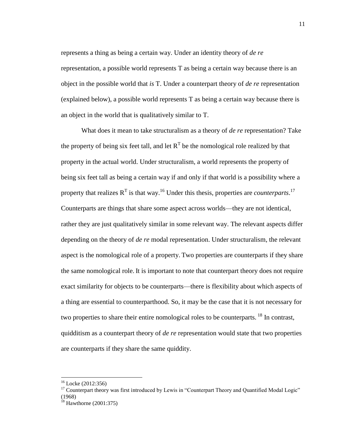represents a thing as being a certain way. Under an identity theory of *de re* representation, a possible world represents T as being a certain way because there is an object in the possible world that *is* T. Under a counterpart theory of *de re* representation (explained below), a possible world represents T as being a certain way because there is an object in the world that is qualitatively similar to T.

What does it mean to take structuralism as a theory of *de re* representation? Take the property of being six feet tall, and let  $R<sup>T</sup>$  be the nomological role realized by that property in the actual world. Under structuralism, a world represents the property of being six feet tall as being a certain way if and only if that world is a possibility where a property that realizes  $R<sup>T</sup>$  is that way.<sup>16</sup> Under this thesis, properties are *counterparts*.<sup>17</sup> Counterparts are things that share some aspect across worlds—they are not identical, rather they are just qualitatively similar in some relevant way. The relevant aspects differ depending on the theory of *de re* modal representation. Under structuralism, the relevant aspect is the nomological role of a property. Two properties are counterparts if they share the same nomological role. It is important to note that counterpart theory does not require exact similarity for objects to be counterparts—there is flexibility about which aspects of a thing are essential to counterparthood. So, it may be the case that it is not necessary for two properties to share their entire nomological roles to be counterparts. <sup>18</sup> In contrast, quidditism as a counterpart theory of *de re* representation would state that two properties are counterparts if they share the same quiddity.

<sup>16</sup> Locke (2012:356)

<sup>&</sup>lt;sup>17</sup> Counterpart theory was first introduced by Lewis in "Counterpart Theory and Quantified Modal Logic" (1968)

 $^{18}$  Hawthorne (2001:375)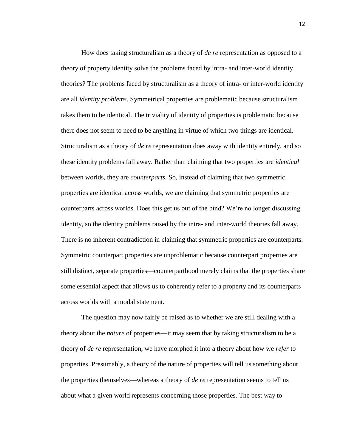How does taking structuralism as a theory of *de re* representation as opposed to a theory of property identity solve the problems faced by intra- and inter-world identity theories? The problems faced by structuralism as a theory of intra- or inter-world identity are all *identity problems*. Symmetrical properties are problematic because structuralism takes them to be identical. The triviality of identity of properties is problematic because there does not seem to need to be anything in virtue of which two things are identical. Structuralism as a theory of *de re* representation does away with identity entirely, and so these identity problems fall away. Rather than claiming that two properties are *identical* between worlds, they are *counterparts*. So, instead of claiming that two symmetric properties are identical across worlds, we are claiming that symmetric properties are counterparts across worlds. Does this get us out of the bind? We're no longer discussing identity, so the identity problems raised by the intra- and inter-world theories fall away. There is no inherent contradiction in claiming that symmetric properties are counterparts. Symmetric counterpart properties are unproblematic because counterpart properties are still distinct, separate properties—counterparthood merely claims that the properties share some essential aspect that allows us to coherently refer to a property and its counterparts across worlds with a modal statement.

The question may now fairly be raised as to whether we are still dealing with a theory about the *nature* of properties—it may seem that by taking structuralism to be a theory of *de re* representation, we have morphed it into a theory about how we *refer* to properties. Presumably, a theory of the nature of properties will tell us something about the properties themselves—whereas a theory of *de re* representation seems to tell us about what a given world represents concerning those properties. The best way to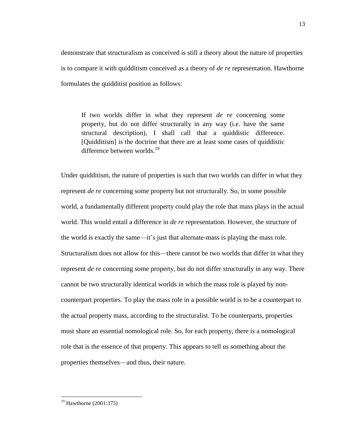demonstrate that structuralism as conceived is still a theory about the nature of properties is to compare it with quidditism conceived as a theory of *de re* representation. Hawthorne formulates the quidditist position as follows:

If two worlds differ in what they represent *de re* concerning some property, but do not differ structurally in any way (i.e. have the same structural description), I shall call that a quiddistic difference. [Quidditism] is the doctrine that there are at least some cases of quiddistic difference between worlds.<sup>19</sup>

Under quidditism, the nature of properties is such that two worlds can differ in what they represent *de re* concerning some property but not structurally. So, in some possible world, a fundamentally different property could play the role that mass plays in the actual world. This would entail a difference in *de re* representation. However, the structure of the world is exactly the same—it's just that alternate-mass is playing the mass role. Structuralism does not allow for this—there cannot be two worlds that differ in what they represent *de re* concerning some property, but do not differ structurally in any way. There cannot be two structurally identical worlds in which the mass role is played by noncounterpart properties. To play the mass role in a possible world is to be a counterpart to the actual property mass, according to the structuralist. To be counterparts, properties must share an essential nomological role. So, for each property, there is a nomological role that is the essence of that property. This appears to tell us something about the properties themselves—and thus, their nature.

 $19$  Hawthorne (2001:375)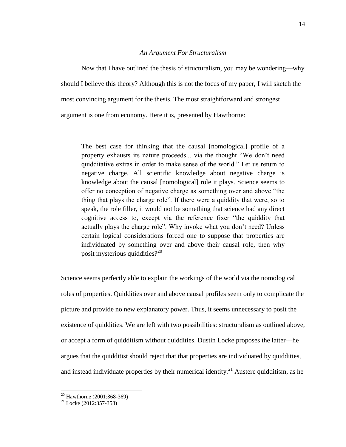#### *An Argument For Structuralism*

<span id="page-18-0"></span>Now that I have outlined the thesis of structuralism, you may be wondering—why should I believe this theory? Although this is not the focus of my paper, I will sketch the most convincing argument for the thesis. The most straightforward and strongest argument is one from economy. Here it is, presented by Hawthorne:

The best case for thinking that the causal [nomological] profile of a property exhausts its nature proceeds... via the thought "We don't need quidditative extras in order to make sense of the world." Let us return to negative charge. All scientific knowledge about negative charge is knowledge about the causal [nomological] role it plays. Science seems to offer no conception of negative charge as something over and above "the thing that plays the charge role". If there were a quiddity that were, so to speak, the role filler, it would not be something that science had any direct cognitive access to, except via the reference fixer "the quiddity that actually plays the charge role". Why invoke what you don't need? Unless certain logical considerations forced one to suppose that properties are individuated by something over and above their causal role, then why posit mysterious quiddities?<sup>20</sup>

Science seems perfectly able to explain the workings of the world via the nomological roles of properties. Quiddities over and above causal profiles seem only to complicate the picture and provide no new explanatory power. Thus, it seems unnecessary to posit the existence of quiddities. We are left with two possibilities: structuralism as outlined above, or accept a form of quidditism without quiddities. Dustin Locke proposes the latter—he argues that the quidditist should reject that that properties are individuated by quiddities, and instead individuate properties by their numerical identity.<sup>21</sup> Austere quidditism, as he

 $20$  Hawthorne (2001:368-369)

 $21$  Locke (2012:357-358)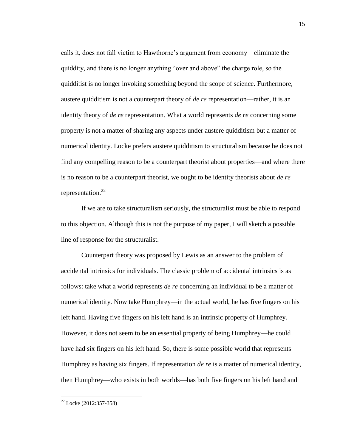calls it, does not fall victim to Hawthorne's argument from economy—eliminate the quiddity, and there is no longer anything "over and above" the charge role, so the quidditist is no longer invoking something beyond the scope of science. Furthermore, austere quidditism is not a counterpart theory of *de re* representation—rather, it is an identity theory of *de re* representation. What a world represents *de re* concerning some property is not a matter of sharing any aspects under austere quidditism but a matter of numerical identity. Locke prefers austere quidditism to structuralism because he does not find any compelling reason to be a counterpart theorist about properties—and where there is no reason to be a counterpart theorist, we ought to be identity theorists about *de re* representation. $^{22}$ 

If we are to take structuralism seriously, the structuralist must be able to respond to this objection. Although this is not the purpose of my paper, I will sketch a possible line of response for the structuralist.

Counterpart theory was proposed by Lewis as an answer to the problem of accidental intrinsics for individuals. The classic problem of accidental intrinsics is as follows: take what a world represents *de re* concerning an individual to be a matter of numerical identity. Now take Humphrey—in the actual world, he has five fingers on his left hand. Having five fingers on his left hand is an intrinsic property of Humphrey. However, it does not seem to be an essential property of being Humphrey—he could have had six fingers on his left hand. So, there is some possible world that represents Humphrey as having six fingers. If representation *de re* is a matter of numerical identity, then Humphrey—who exists in both worlds—has both five fingers on his left hand and

 $^{22}$  Locke (2012:357-358)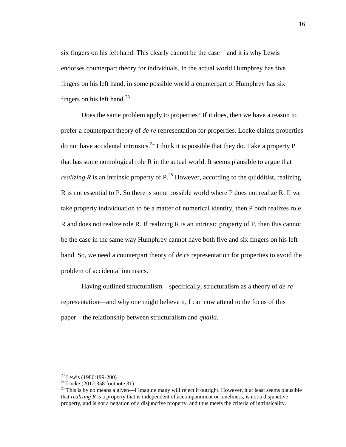six fingers on his left hand. This clearly cannot be the case—and it is why Lewis endorses counterpart theory for individuals. In the actual world Humphrey has five fingers on his left hand, in some possible world a counterpart of Humphrey has six fingers on his left hand.<sup>23</sup>

Does the same problem apply to properties? If it does, then we have a reason to prefer a counterpart theory of *de re* representation for properties. Locke claims properties do not have accidental intrinsics.<sup>24</sup> I think it is possible that they do. Take a property P that has some nomological role R in the actual world. It seems plausible to argue that *realizing R* is an intrinsic property of  $P<sup>25</sup>$  However, according to the quidditist, realizing R is not essential to P. So there is some possible world where P does not realize R. If we take property individuation to be a matter of numerical identity, then P both realizes role R and does not realize role R. If realizing R is an intrinsic property of P, then this cannot be the case in the same way Humphrey cannot have both five and six fingers on his left hand. So, we need a counterpart theory of *de re* representation for properties to avoid the problem of accidental intrinsics.

Having outlined structuralism—specifically, structuralism as a theory of *de re* representation—and why one might believe it, I can now attend to the focus of this paper—the relationship between structuralism and *qualia*.

 $\overline{a}$ 

<sup>&</sup>lt;sup>23</sup> Lewis (1986:199-200)

<sup>&</sup>lt;sup>24</sup> Locke (2012:358 footnote 31)

<sup>&</sup>lt;sup>25</sup> This is by no means a given—I imagine many will reject it outright. However, it at least seems plausible that *realizing R* is a property that is independent of accompaniment or loneliness, is not a disjunctive property, and is not a negation of a disjunctive property, and thus meets the criteria of intrinsicality.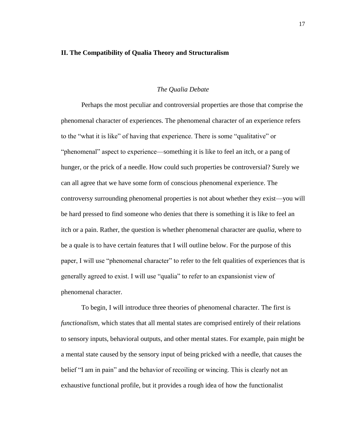#### <span id="page-21-0"></span>**II. The Compatibility of Qualia Theory and Structuralism**

#### *The Qualia Debate*

<span id="page-21-1"></span>Perhaps the most peculiar and controversial properties are those that comprise the phenomenal character of experiences. The phenomenal character of an experience refers to the "what it is like" of having that experience. There is some "qualitative" or "phenomenal" aspect to experience—something it is like to feel an itch, or a pang of hunger, or the prick of a needle. How could such properties be controversial? Surely we can all agree that we have some form of conscious phenomenal experience. The controversy surrounding phenomenal properties is not about whether they exist—you will be hard pressed to find someone who denies that there is something it is like to feel an itch or a pain. Rather, the question is whether phenomenal character are *qualia*, where to be a quale is to have certain features that I will outline below. For the purpose of this paper, I will use "phenomenal character" to refer to the felt qualities of experiences that is generally agreed to exist. I will use "qualia" to refer to an expansionist view of phenomenal character.

To begin, I will introduce three theories of phenomenal character. The first is *functionalism*, which states that all mental states are comprised entirely of their relations to sensory inputs, behavioral outputs, and other mental states. For example, pain might be a mental state caused by the sensory input of being pricked with a needle, that causes the belief "I am in pain" and the behavior of recoiling or wincing. This is clearly not an exhaustive functional profile, but it provides a rough idea of how the functionalist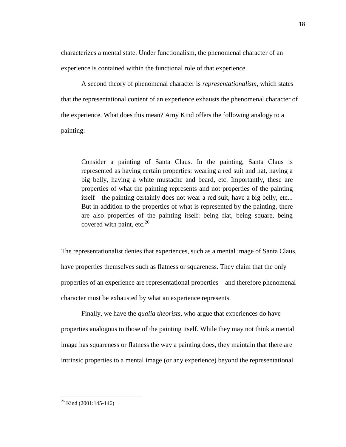characterizes a mental state. Under functionalism, the phenomenal character of an experience is contained within the functional role of that experience.

A second theory of phenomenal character is *representationalism*, which states that the representational content of an experience exhausts the phenomenal character of the experience. What does this mean? Amy Kind offers the following analogy to a painting:

Consider a painting of Santa Claus. In the painting, Santa Claus is represented as having certain properties: wearing a red suit and hat, having a big belly, having a white mustache and beard, etc. Importantly, these are properties of what the painting represents and not properties of the painting itself—the painting certainly does not wear a red suit, have a big belly, etc... But in addition to the properties of what is represented by the painting, there are also properties of the painting itself: being flat, being square, being covered with paint, etc. $^{26}$ 

The representationalist denies that experiences, such as a mental image of Santa Claus, have properties themselves such as flatness or squareness. They claim that the only properties of an experience are representational properties—and therefore phenomenal character must be exhausted by what an experience represents.

Finally, we have the *qualia theorists*, who argue that experiences do have properties analogous to those of the painting itself. While they may not think a mental image has squareness or flatness the way a painting does, they maintain that there are intrinsic properties to a mental image (or any experience) beyond the representational

 $26$  Kind (2001:145-146)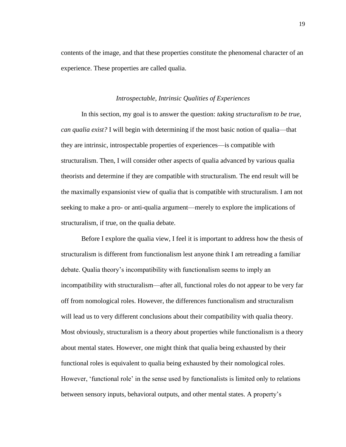contents of the image, and that these properties constitute the phenomenal character of an experience. These properties are called qualia.

#### *Introspectable, Intrinsic Qualities of Experiences*

<span id="page-23-0"></span>In this section, my goal is to answer the question: *taking structuralism to be true, can qualia exist?* I will begin with determining if the most basic notion of qualia—that they are intrinsic, introspectable properties of experiences—is compatible with structuralism. Then, I will consider other aspects of qualia advanced by various qualia theorists and determine if they are compatible with structuralism. The end result will be the maximally expansionist view of qualia that is compatible with structuralism. I am not seeking to make a pro- or anti-qualia argument—merely to explore the implications of structuralism, if true, on the qualia debate.

Before I explore the qualia view, I feel it is important to address how the thesis of structuralism is different from functionalism lest anyone think I am retreading a familiar debate. Qualia theory's incompatibility with functionalism seems to imply an incompatibility with structuralism—after all, functional roles do not appear to be very far off from nomological roles. However, the differences functionalism and structuralism will lead us to very different conclusions about their compatibility with qualia theory. Most obviously, structuralism is a theory about properties while functionalism is a theory about mental states. However, one might think that qualia being exhausted by their functional roles is equivalent to qualia being exhausted by their nomological roles. However, 'functional role' in the sense used by functionalists is limited only to relations between sensory inputs, behavioral outputs, and other mental states. A property's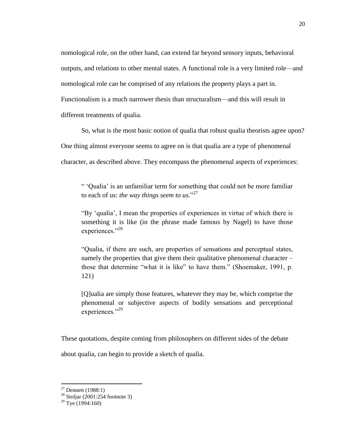nomological role, on the other hand, can extend far beyond sensory inputs, behavioral outputs, and relations to other mental states. A functional role is a very limited role—and nomological role can be comprised of any relations the property plays a part in. Functionalism is a much narrower thesis than structuralism—and this will result in different treatments of qualia.

So, what is the most basic notion of qualia that robust qualia theorists agree upon? One thing almost everyone seems to agree on is that qualia are a type of phenomenal character, as described above. They encompass the phenomenal aspects of experiences:

" 'Qualia' is an unfamiliar term for something that could not be more familiar to each of us: *the way things seem to us.*" 27

"By 'qualia', I mean the properties of experiences in virtue of which there is something it is like (in the phrase made famous by Nagel) to have those experiences."<sup>28</sup>

"Qualia, if there are such, are properties of sensations and perceptual states, namely the properties that give them their qualitative phenomenal character – those that determine "what it is like" to have them." (Shoemaker, 1991, p. 121)

[Q]ualia are simply those features, whatever they may be, which comprise the phenomenal or subjective aspects of bodily sensations and perceptional experiences."<sup>29</sup>

These quotations, despite coming from philosophers on different sides of the debate

about qualia, can begin to provide a sketch of qualia.

 $27$  Dennett (1988:1)

 $28$  Stoljar (2001:254 footnote 3)

 $29$  Tye (1994:160)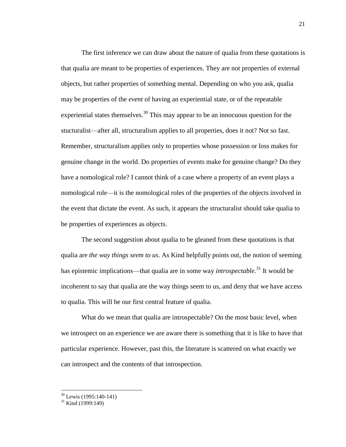The first inference we can draw about the nature of qualia from these quotations is that qualia are meant to be properties of experiences. They are not properties of external objects, but rather properties of something mental. Depending on who you ask, qualia may be properties of the *event* of having an experiential state, or of the repeatable experiential states themselves.<sup>30</sup> This may appear to be an innocuous question for the stucturalist—after all, structuralism applies to all properties, does it not? Not so fast. Remember, structuralism applies only to properties whose possession or loss makes for genuine change in the world. Do properties of events make for genuine change? Do they have a nomological role? I cannot think of a case where a property of an event plays a nomological role—it is the nomological roles of the properties of the objects involved in the event that dictate the event. As such, it appears the structuralist should take qualia to be properties of experiences as objects.

The second suggestion about qualia to be gleaned from these quotations is that qualia are *the way things seem to us*. As Kind helpfully points out, the notion of seeming has epistemic implications—that qualia are in some way *introspectable*. <sup>31</sup> It would be incoherent to say that qualia are the way things seem to us, and deny that we have access to qualia. This will be our first central feature of qualia.

What do we mean that qualia are introspectable? On the most basic level, when we introspect on an experience we are aware there is something that it is like to have that particular experience. However, past this, the literature is scattered on what exactly we can introspect and the contents of that introspection.

 $30$  Lewis (1995:140-141)

 $31$  Kind (1999:149)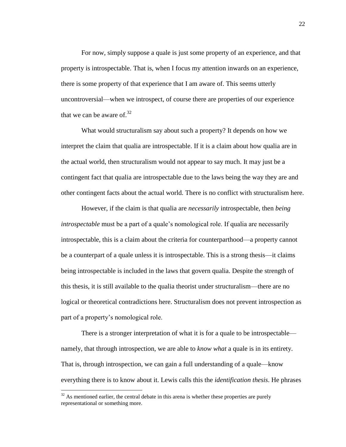For now, simply suppose a quale is just some property of an experience, and that property is introspectable. That is, when I focus my attention inwards on an experience, there is some property of that experience that I am aware of. This seems utterly uncontroversial—when we introspect, of course there are properties of our experience that we can be aware of.<sup>32</sup>

What would structuralism say about such a property? It depends on how we interpret the claim that qualia are introspectable. If it is a claim about how qualia are in the actual world, then structuralism would not appear to say much. It may just be a contingent fact that qualia are introspectable due to the laws being the way they are and other contingent facts about the actual world. There is no conflict with structuralism here.

However, if the claim is that qualia are *necessarily* introspectable, then *being introspectable* must be a part of a quale's nomological role. If qualia are necessarily introspectable, this is a claim about the criteria for counterparthood—a property cannot be a counterpart of a quale unless it is introspectable. This is a strong thesis—it claims being introspectable is included in the laws that govern qualia. Despite the strength of this thesis, it is still available to the qualia theorist under structuralism—there are no logical or theoretical contradictions here. Structuralism does not prevent introspection as part of a property's nomological role.

There is a stronger interpretation of what it is for a quale to be introspectable namely, that through introspection, we are able to *know what* a quale is in its entirety. That is, through introspection, we can gain a full understanding of a quale—know everything there is to know about it. Lewis calls this the *identification thesis*. He phrases

 $32$  As mentioned earlier, the central debate in this arena is whether these properties are purely representational or something more.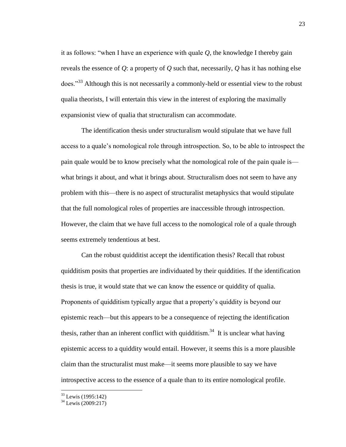it as follows: "when I have an experience with quale *Q*, the knowledge I thereby gain reveals the essence of *Q*: a property of *Q* such that, necessarily, *Q* has it has nothing else does."<sup>33</sup> Although this is not necessarily a commonly-held or essential view to the robust qualia theorists, I will entertain this view in the interest of exploring the maximally expansionist view of qualia that structuralism can accommodate.

The identification thesis under structuralism would stipulate that we have full access to a quale's nomological role through introspection. So, to be able to introspect the pain quale would be to know precisely what the nomological role of the pain quale is what brings it about, and what it brings about. Structuralism does not seem to have any problem with this—there is no aspect of structuralist metaphysics that would stipulate that the full nomological roles of properties are inaccessible through introspection. However, the claim that we have full access to the nomological role of a quale through seems extremely tendentious at best.

Can the robust quidditist accept the identification thesis? Recall that robust quidditism posits that properties are individuated by their quiddities. If the identification thesis is true, it would state that we can know the essence or quiddity of qualia. Proponents of quidditism typically argue that a property's quiddity is beyond our epistemic reach—but this appears to be a consequence of rejecting the identification thesis, rather than an inherent conflict with quidditism.<sup>34</sup> It is unclear what having epistemic access to a quiddity would entail. However, it seems this is a more plausible claim than the structuralist must make—it seems more plausible to say we have introspective access to the essence of a quale than to its entire nomological profile.

<sup>&</sup>lt;sup>33</sup> Lewis (1995:142)

 $34$  Lewis (2009:217)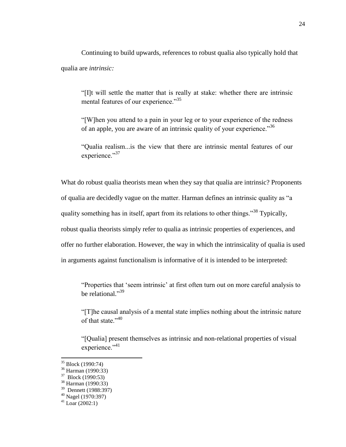Continuing to build upwards, references to robust qualia also typically hold that qualia are *intrinsic:*

"[I]t will settle the matter that is really at stake: whether there are intrinsic mental features of our experience."<sup>35</sup>

"[W]hen you attend to a pain in your leg or to your experience of the redness of an apple, you are aware of an intrinsic quality of your experience."<sup>36</sup>

"Qualia realism...is the view that there are intrinsic mental features of our experience."37

What do robust qualia theorists mean when they say that qualia are intrinsic? Proponents of qualia are decidedly vague on the matter. Harman defines an intrinsic quality as "a quality something has in itself, apart from its relations to other things."<sup>38</sup> Typically, robust qualia theorists simply refer to qualia as intrinsic properties of experiences, and offer no further elaboration. However, the way in which the intrinsicality of qualia is used in arguments against functionalism is informative of it is intended to be interpreted:

"Properties that 'seem intrinsic' at first often turn out on more careful analysis to be relational."<sup>39</sup>

"[T]he causal analysis of a mental state implies nothing about the intrinsic nature of that state."<sup>40</sup>

"[Qualia] present themselves as intrinsic and non-relational properties of visual experience."<sup>41</sup>

<sup>&</sup>lt;sup>35</sup> Block (1990:74)

<sup>36</sup> Harman (1990:33)

<sup>37</sup> Block (1990:53)

<sup>38</sup> Harman (1990:33)

<sup>39</sup> Dennett (1988:397)

<sup>40</sup> Nagel (1970:397)

 $41$  Loar (2002:1)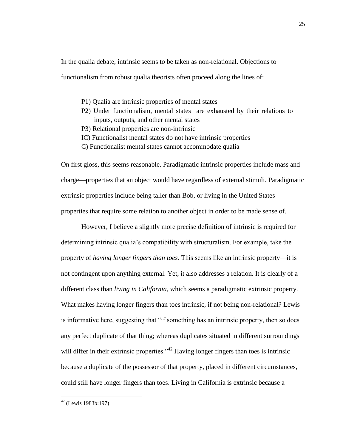In the qualia debate, intrinsic seems to be taken as non-relational. Objections to

functionalism from robust qualia theorists often proceed along the lines of:

- P1) Qualia are intrinsic properties of mental states
- P2) Under functionalism, mental states are exhausted by their relations to inputs, outputs, and other mental states
- P3) Relational properties are non-intrinsic
- IC) Functionalist mental states do not have intrinsic properties
- C) Functionalist mental states cannot accommodate qualia

On first gloss, this seems reasonable. Paradigmatic intrinsic properties include mass and charge—properties that an object would have regardless of external stimuli. Paradigmatic extrinsic properties include being taller than Bob, or living in the United States properties that require some relation to another object in order to be made sense of.

However, I believe a slightly more precise definition of intrinsic is required for determining intrinsic qualia's compatibility with structuralism. For example, take the property of *having longer fingers than toes*. This seems like an intrinsic property—it is not contingent upon anything external. Yet, it also addresses a relation. It is clearly of a different class than *living in California*, which seems a paradigmatic extrinsic property. What makes having longer fingers than toes intrinsic, if not being non-relational? Lewis is informative here, suggesting that "if something has an intrinsic property, then so does any perfect duplicate of that thing; whereas duplicates situated in different surroundings will differ in their extrinsic properties."<sup>42</sup> Having longer fingers than toes is intrinsic because a duplicate of the possessor of that property, placed in different circumstances, could still have longer fingers than toes. Living in California is extrinsic because a

 $42$  (Lewis 1983b:197)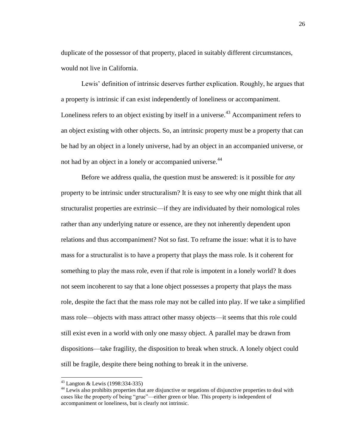duplicate of the possessor of that property, placed in suitably different circumstances, would not live in California.

Lewis' definition of intrinsic deserves further explication. Roughly, he argues that a property is intrinsic if can exist independently of loneliness or accompaniment. Loneliness refers to an object existing by itself in a universe.<sup> $43$ </sup> Accompaniment refers to an object existing with other objects. So, an intrinsic property must be a property that can be had by an object in a lonely universe, had by an object in an accompanied universe, or not had by an object in a lonely or accompanied universe.<sup>44</sup>

Before we address qualia, the question must be answered: is it possible for *any* property to be intrinsic under structuralism? It is easy to see why one might think that all structuralist properties are extrinsic—if they are individuated by their nomological roles rather than any underlying nature or essence, are they not inherently dependent upon relations and thus accompaniment? Not so fast. To reframe the issue: what it is to have mass for a structuralist is to have a property that plays the mass role. Is it coherent for something to play the mass role, even if that role is impotent in a lonely world? It does not seem incoherent to say that a lone object possesses a property that plays the mass role, despite the fact that the mass role may not be called into play. If we take a simplified mass role—objects with mass attract other massy objects—it seems that this role could still exist even in a world with only one massy object. A parallel may be drawn from dispositions—take fragility, the disposition to break when struck. A lonely object could still be fragile, despite there being nothing to break it in the universe.

<sup>43</sup> Langton & Lewis (1998:334-335)

<sup>&</sup>lt;sup>44</sup> Lewis also prohibits properties that are disjunctive or negations of disjunctive properties to deal with cases like the property of being "grue"—either green or blue. This property is independent of accompaniment or loneliness, but is clearly not intrinsic.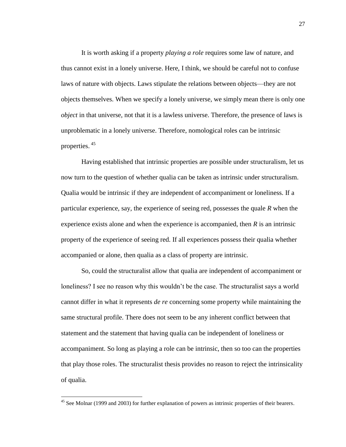It is worth asking if a property *playing a role* requires some law of nature, and thus cannot exist in a lonely universe. Here, I think, we should be careful not to confuse laws of nature with objects. Laws stipulate the relations between objects—they are not objects themselves. When we specify a lonely universe, we simply mean there is only one *object* in that universe, not that it is a lawless universe. Therefore, the presence of laws is unproblematic in a lonely universe. Therefore, nomological roles can be intrinsic properties. <sup>45</sup>

Having established that intrinsic properties are possible under structuralism, let us now turn to the question of whether qualia can be taken as intrinsic under structuralism. Qualia would be intrinsic if they are independent of accompaniment or loneliness. If a particular experience, say, the experience of seeing red, possesses the quale *R* when the experience exists alone and when the experience is accompanied, then *R* is an intrinsic property of the experience of seeing red. If all experiences possess their qualia whether accompanied or alone, then qualia as a class of property are intrinsic.

So, could the structuralist allow that qualia are independent of accompaniment or loneliness? I see no reason why this wouldn't be the case. The structuralist says a world cannot differ in what it represents *de re* concerning some property while maintaining the same structural profile. There does not seem to be any inherent conflict between that statement and the statement that having qualia can be independent of loneliness or accompaniment. So long as playing a role can be intrinsic, then so too can the properties that play those roles. The structuralist thesis provides no reason to reject the intrinsicality of qualia.

 $45$  See Molnar (1999 and 2003) for further explanation of powers as intrinsic properties of their bearers.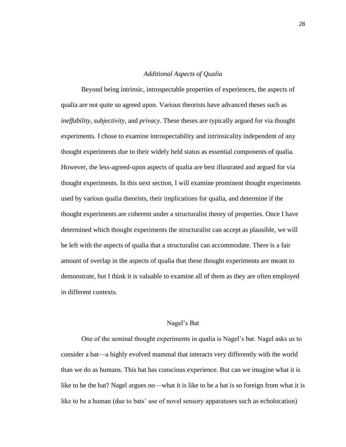#### *Additional Aspects of Qualia*

<span id="page-32-0"></span>Beyond being intrinsic, introspectable properties of experiences, the aspects of qualia are not quite so agreed upon. Various theorists have advanced theses such as *ineffability*, *subjectivity*, and *privacy*. These theses are typically argued for via thought experiments. I chose to examine introspectability and intrinsicality independent of any thought experiments due to their widely held status as essential components of qualia. However, the less-agreed-upon aspects of qualia are best illustrated and argued for via thought experiments. In this next section, I will examine prominent thought experiments used by various qualia theorists, their implications for qualia, and determine if the thought experiments are coherent under a structuralist theory of properties. Once I have determined which thought experiments the structuralist can accept as plausible, we will be left with the aspects of qualia that a structuralist can accommodate. There is a fair amount of overlap in the aspects of qualia that these thought experiments are meant to demonstrate, but I think it is valuable to examine all of them as they are often employed in different contexts.

#### Nagel's Bat

One of the seminal thought experiments in qualia is Nagel's bat. Nagel asks us to consider a bat—a highly evolved mammal that interacts very differently with the world than we do as humans. This bat has conscious experience. But can we imagine what it is like to be the bat? Nagel argues no—what it is like to be a bat is so foreign from what it is like to be a human (due to bats' use of novel sensory apparatuses such as echolocation)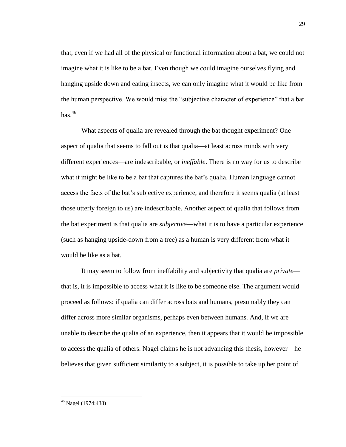that, even if we had all of the physical or functional information about a bat, we could not imagine what it is like to be a bat. Even though we could imagine ourselves flying and hanging upside down and eating insects, we can only imagine what it would be like from the human perspective. We would miss the "subjective character of experience" that a bat  $has.<sup>46</sup>$ 

What aspects of qualia are revealed through the bat thought experiment? One aspect of qualia that seems to fall out is that qualia—at least across minds with very different experiences—are indescribable, or *ineffable*. There is no way for us to describe what it might be like to be a bat that captures the bat's qualia. Human language cannot access the facts of the bat's subjective experience, and therefore it seems qualia (at least those utterly foreign to us) are indescribable. Another aspect of qualia that follows from the bat experiment is that qualia are *subjective*—what it is to have a particular experience (such as hanging upside-down from a tree) as a human is very different from what it would be like as a bat.

It may seem to follow from ineffability and subjectivity that qualia are *private* that is, it is impossible to access what it is like to be someone else. The argument would proceed as follows: if qualia can differ across bats and humans, presumably they can differ across more similar organisms, perhaps even between humans. And, if we are unable to describe the qualia of an experience, then it appears that it would be impossible to access the qualia of others. Nagel claims he is not advancing this thesis, however—he believes that given sufficient similarity to a subject, it is possible to take up her point of

<sup>46</sup> Nagel (1974:438)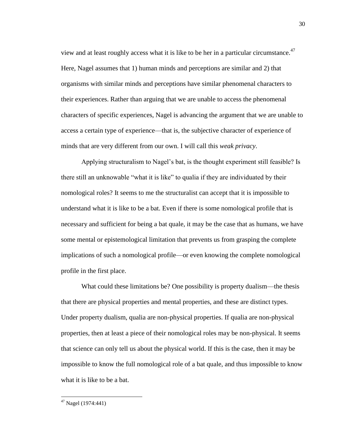view and at least roughly access what it is like to be her in a particular circumstance. $47$ Here, Nagel assumes that 1) human minds and perceptions are similar and 2) that organisms with similar minds and perceptions have similar phenomenal characters to their experiences. Rather than arguing that we are unable to access the phenomenal characters of specific experiences, Nagel is advancing the argument that we are unable to access a certain type of experience—that is, the subjective character of experience of minds that are very different from our own. I will call this *weak privacy*.

Applying structuralism to Nagel's bat, is the thought experiment still feasible? Is there still an unknowable "what it is like" to qualia if they are individuated by their nomological roles? It seems to me the structuralist can accept that it is impossible to understand what it is like to be a bat. Even if there is some nomological profile that is necessary and sufficient for being a bat quale, it may be the case that as humans, we have some mental or epistemological limitation that prevents us from grasping the complete implications of such a nomological profile—or even knowing the complete nomological profile in the first place.

What could these limitations be? One possibility is property dualism—the thesis that there are physical properties and mental properties, and these are distinct types. Under property dualism, qualia are non-physical properties. If qualia are non-physical properties, then at least a piece of their nomological roles may be non-physical. It seems that science can only tell us about the physical world. If this is the case, then it may be impossible to know the full nomological role of a bat quale, and thus impossible to know what it is like to be a bat.

 $47$  Nagel (1974:441)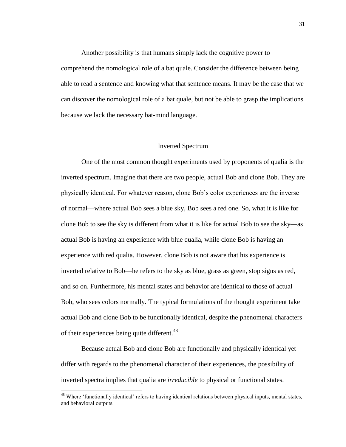Another possibility is that humans simply lack the cognitive power to comprehend the nomological role of a bat quale. Consider the difference between being able to read a sentence and knowing what that sentence means. It may be the case that we can discover the nomological role of a bat quale, but not be able to grasp the implications because we lack the necessary bat-mind language.

#### Inverted Spectrum

One of the most common thought experiments used by proponents of qualia is the inverted spectrum. Imagine that there are two people, actual Bob and clone Bob. They are physically identical. For whatever reason, clone Bob's color experiences are the inverse of normal—where actual Bob sees a blue sky, Bob sees a red one. So, what it is like for clone Bob to see the sky is different from what it is like for actual Bob to see the sky—as actual Bob is having an experience with blue qualia, while clone Bob is having an experience with red qualia. However, clone Bob is not aware that his experience is inverted relative to Bob—he refers to the sky as blue, grass as green, stop signs as red, and so on. Furthermore, his mental states and behavior are identical to those of actual Bob, who sees colors normally. The typical formulations of the thought experiment take actual Bob and clone Bob to be functionally identical, despite the phenomenal characters of their experiences being quite different.<sup>48</sup>

Because actual Bob and clone Bob are functionally and physically identical yet differ with regards to the phenomenal character of their experiences, the possibility of inverted spectra implies that qualia are *irreducible* to physical or functional states.

<sup>&</sup>lt;sup>48</sup> Where 'functionally identical' refers to having identical relations between physical inputs, mental states, and behavioral outputs.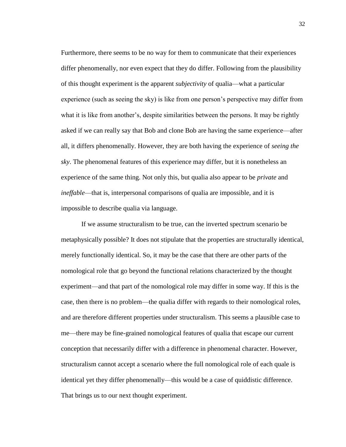Furthermore, there seems to be no way for them to communicate that their experiences differ phenomenally, nor even expect that they do differ. Following from the plausibility of this thought experiment is the apparent *subjectivity* of qualia—what a particular experience (such as seeing the sky) is like from one person's perspective may differ from what it is like from another's, despite similarities between the persons. It may be rightly asked if we can really say that Bob and clone Bob are having the same experience—after all, it differs phenomenally. However, they are both having the experience of *seeing the sky*. The phenomenal features of this experience may differ, but it is nonetheless an experience of the same thing. Not only this, but qualia also appear to be *private* and *ineffable*—that is, interpersonal comparisons of qualia are impossible, and it is impossible to describe qualia via language.

If we assume structuralism to be true, can the inverted spectrum scenario be metaphysically possible? It does not stipulate that the properties are structurally identical, merely functionally identical. So, it may be the case that there are other parts of the nomological role that go beyond the functional relations characterized by the thought experiment—and that part of the nomological role may differ in some way. If this is the case, then there is no problem—the qualia differ with regards to their nomological roles, and are therefore different properties under structuralism. This seems a plausible case to me—there may be fine-grained nomological features of qualia that escape our current conception that necessarily differ with a difference in phenomenal character. However, structuralism cannot accept a scenario where the full nomological role of each quale is identical yet they differ phenomenally—this would be a case of quiddistic difference. That brings us to our next thought experiment.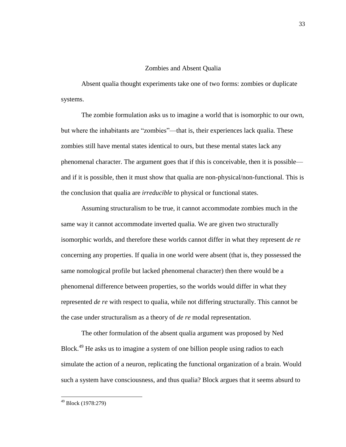#### Zombies and Absent Qualia

Absent qualia thought experiments take one of two forms: zombies or duplicate systems.

The zombie formulation asks us to imagine a world that is isomorphic to our own, but where the inhabitants are "zombies"—that is, their experiences lack qualia. These zombies still have mental states identical to ours, but these mental states lack any phenomenal character. The argument goes that if this is conceivable, then it is possible and if it is possible, then it must show that qualia are non-physical/non-functional. This is the conclusion that qualia are *irreducible* to physical or functional states.

Assuming structuralism to be true, it cannot accommodate zombies much in the same way it cannot accommodate inverted qualia. We are given two structurally isomorphic worlds, and therefore these worlds cannot differ in what they represent *de re* concerning any properties. If qualia in one world were absent (that is, they possessed the same nomological profile but lacked phenomenal character) then there would be a phenomenal difference between properties, so the worlds would differ in what they represented *de re* with respect to qualia, while not differing structurally. This cannot be the case under structuralism as a theory of *de re* modal representation.

The other formulation of the absent qualia argument was proposed by Ned Block.<sup>49</sup> He asks us to imagine a system of one billion people using radios to each simulate the action of a neuron, replicating the functional organization of a brain. Would such a system have consciousness, and thus qualia? Block argues that it seems absurd to

<sup>49</sup> Block (1978:279)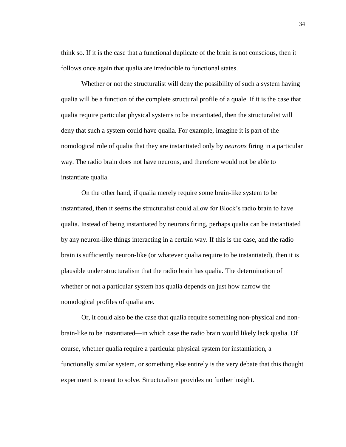think so. If it is the case that a functional duplicate of the brain is not conscious, then it follows once again that qualia are irreducible to functional states.

Whether or not the structuralist will deny the possibility of such a system having qualia will be a function of the complete structural profile of a quale. If it is the case that qualia require particular physical systems to be instantiated, then the structuralist will deny that such a system could have qualia. For example, imagine it is part of the nomological role of qualia that they are instantiated only by *neurons* firing in a particular way. The radio brain does not have neurons, and therefore would not be able to instantiate qualia.

On the other hand, if qualia merely require some brain-like system to be instantiated, then it seems the structuralist could allow for Block's radio brain to have qualia. Instead of being instantiated by neurons firing, perhaps qualia can be instantiated by any neuron-like things interacting in a certain way. If this is the case, and the radio brain is sufficiently neuron-like (or whatever qualia require to be instantiated), then it is plausible under structuralism that the radio brain has qualia. The determination of whether or not a particular system has qualia depends on just how narrow the nomological profiles of qualia are.

Or, it could also be the case that qualia require something non-physical and nonbrain-like to be instantiated—in which case the radio brain would likely lack qualia. Of course, whether qualia require a particular physical system for instantiation, a functionally similar system, or something else entirely is the very debate that this thought experiment is meant to solve. Structuralism provides no further insight.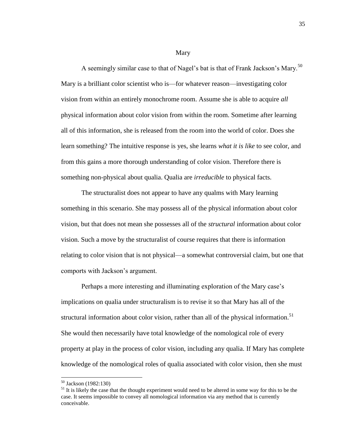Mary

A seemingly similar case to that of Nagel's bat is that of Frank Jackson's Mary.<sup>50</sup> Mary is a brilliant color scientist who is—for whatever reason—investigating color vision from within an entirely monochrome room. Assume she is able to acquire *all* physical information about color vision from within the room. Sometime after learning all of this information, she is released from the room into the world of color. Does she learn something? The intuitive response is yes, she learns *what it is like* to see color, and from this gains a more thorough understanding of color vision. Therefore there is something non-physical about qualia. Qualia are *irreducible* to physical facts.

The structuralist does not appear to have any qualms with Mary learning something in this scenario. She may possess all of the physical information about color vision, but that does not mean she possesses all of the *structural* information about color vision. Such a move by the structuralist of course requires that there is information relating to color vision that is not physical—a somewhat controversial claim, but one that comports with Jackson's argument.

Perhaps a more interesting and illuminating exploration of the Mary case's implications on qualia under structuralism is to revise it so that Mary has all of the structural information about color vision, rather than all of the physical information.<sup>51</sup> She would then necessarily have total knowledge of the nomological role of every property at play in the process of color vision, including any qualia. If Mary has complete knowledge of the nomological roles of qualia associated with color vision, then she must

<sup>50</sup> Jackson (1982:130)

<sup>&</sup>lt;sup>51</sup> It is likely the case that the thought experiment would need to be altered in some way for this to be the case. It seems impossible to convey all nomological information via any method that is currently conceivable.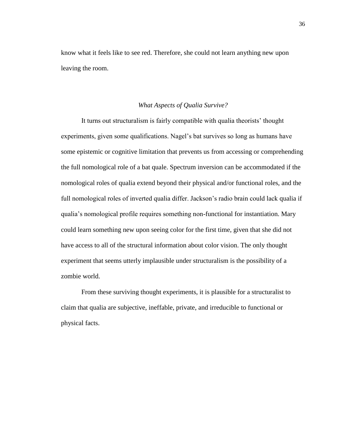know what it feels like to see red. Therefore, she could not learn anything new upon leaving the room.

#### *What Aspects of Qualia Survive?*

<span id="page-40-0"></span>It turns out structuralism is fairly compatible with qualia theorists' thought experiments, given some qualifications. Nagel's bat survives so long as humans have some epistemic or cognitive limitation that prevents us from accessing or comprehending the full nomological role of a bat quale. Spectrum inversion can be accommodated if the nomological roles of qualia extend beyond their physical and/or functional roles, and the full nomological roles of inverted qualia differ. Jackson's radio brain could lack qualia if qualia's nomological profile requires something non-functional for instantiation. Mary could learn something new upon seeing color for the first time, given that she did not have access to all of the structural information about color vision. The only thought experiment that seems utterly implausible under structuralism is the possibility of a zombie world.

From these surviving thought experiments, it is plausible for a structuralist to claim that qualia are subjective, ineffable, private, and irreducible to functional or physical facts.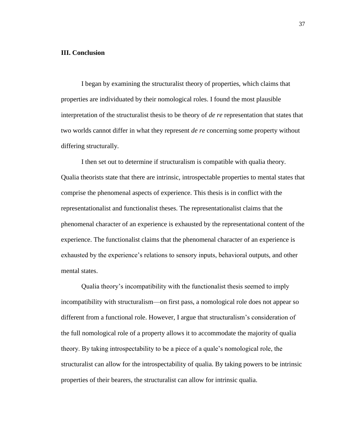#### <span id="page-41-0"></span>**III. Conclusion**

I began by examining the structuralist theory of properties, which claims that properties are individuated by their nomological roles. I found the most plausible interpretation of the structuralist thesis to be theory of *de re* representation that states that two worlds cannot differ in what they represent *de re* concerning some property without differing structurally.

I then set out to determine if structuralism is compatible with qualia theory. Qualia theorists state that there are intrinsic, introspectable properties to mental states that comprise the phenomenal aspects of experience. This thesis is in conflict with the representationalist and functionalist theses. The representationalist claims that the phenomenal character of an experience is exhausted by the representational content of the experience. The functionalist claims that the phenomenal character of an experience is exhausted by the experience's relations to sensory inputs, behavioral outputs, and other mental states.

Qualia theory's incompatibility with the functionalist thesis seemed to imply incompatibility with structuralism—on first pass, a nomological role does not appear so different from a functional role. However, I argue that structuralism's consideration of the full nomological role of a property allows it to accommodate the majority of qualia theory. By taking introspectability to be a piece of a quale's nomological role, the structuralist can allow for the introspectability of qualia. By taking powers to be intrinsic properties of their bearers, the structuralist can allow for intrinsic qualia.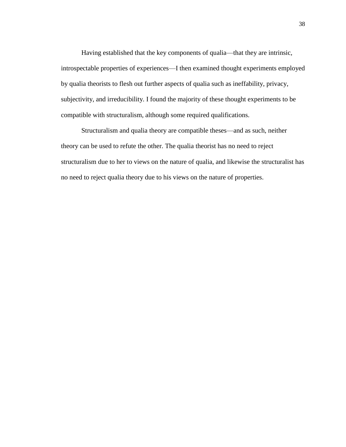Having established that the key components of qualia—that they are intrinsic, introspectable properties of experiences—I then examined thought experiments employed by qualia theorists to flesh out further aspects of qualia such as ineffability, privacy, subjectivity, and irreducibility. I found the majority of these thought experiments to be compatible with structuralism, although some required qualifications.

Structuralism and qualia theory are compatible theses—and as such, neither theory can be used to refute the other. The qualia theorist has no need to reject structuralism due to her to views on the nature of qualia, and likewise the structuralist has no need to reject qualia theory due to his views on the nature of properties.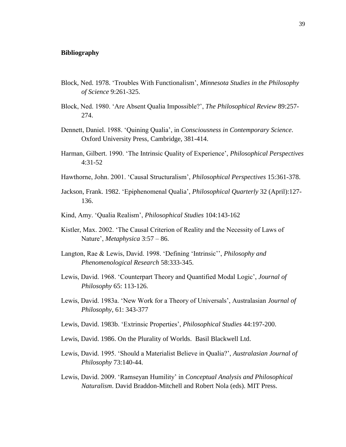#### <span id="page-43-0"></span>**Bibliography**

- Block, Ned. 1978. 'Troubles With Functionalism', *Minnesota Studies in the Philosophy of Science* 9:261-325.
- Block, Ned. 1980. 'Are Absent Qualia Impossible?', *The Philosophical Review* 89:257- 274.
- Dennett, Daniel. 1988. 'Quining Qualia', in *Consciousness in Contemporary Science*. Oxford University Press, Cambridge, 381-414.
- Harman, Gilbert. 1990. 'The Intrinsic Quality of Experience', *Philosophical Perspectives*  4:31-52
- Hawthorne, John. 2001. 'Causal Structuralism', *Philosophical Perspectives* 15:361-378.
- Jackson, Frank. 1982. 'Epiphenomenal Qualia', *Philosophical Quarterly* 32 (April):127- 136.
- Kind, Amy. 'Qualia Realism', *Philosophical Studies* 104:143-162
- Kistler, Max. 2002. 'The Causal Criterion of Reality and the Necessity of Laws of Nature', *Metaphysica* 3:57 – 86.
- Langton, Rae & Lewis, David. 1998. 'Defining 'Intrinsic'', *Philosophy and Phenomenological Research* 58:333-345.
- Lewis, David. 1968. 'Counterpart Theory and Quantified Modal Logic', *Journal of Philosophy* 65: 113-126.
- Lewis, David. 1983a. 'New Work for a Theory of Universals', Australasian *Journal of Philosophy*, 61: 343-377
- Lewis, David. 1983b. 'Extrinsic Properties', *Philosophical Studies* 44:197-200.
- Lewis, David. 1986. On the Plurality of Worlds. Basil Blackwell Ltd.
- Lewis, David. 1995. 'Should a Materialist Believe in Qualia?', *Australasian Journal of Philosophy* 73:140-44.
- Lewis, David. 2009. 'Ramseyan Humility' in *Conceptual Analysis and Philosophical Naturalism*. David Braddon-Mitchell and Robert Nola (eds). MIT Press.